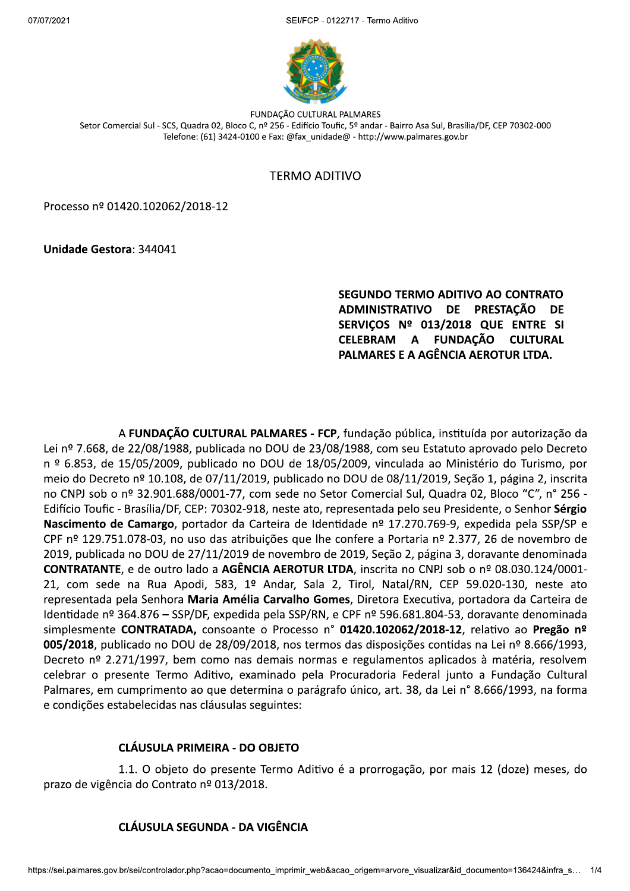SEI/FCP - 0122717 - Termo Aditivo



FUNDAÇÃO CULTURAL PALMARES Setor Comercial Sul - SCS, Quadra 02, Bloco C, nº 256 - Edifício Toufic, 5º andar - Bairro Asa Sul, Brasília/DF, CEP 70302-000 Telefone: (61) 3424-0100 e Fax: @fax\_unidade@ - http://www.palmares.gov.br

# **TERMO ADITIVO**

Processo nº 01420.102062/2018-12

**Unidade Gestora: 344041** 

#### SEGUNDO TERMO ADITIVO AO CONTRATO ADMINISTRATIVO DE PRESTAÇÃO **DE** SERVIÇOS Nº 013/2018 QUE ENTRE SI CELEBRAM A FUNDACÃO **CULTURAL** PALMARES E A AGÊNCIA AEROTUR LTDA.

A FUNDAÇÃO CULTURAL PALMARES - FCP, fundação pública, instituída por autorização da Lei nº 7.668, de 22/08/1988, publicada no DOU de 23/08/1988, com seu Estatuto aprovado pelo Decreto n º 6.853, de 15/05/2009, publicado no DOU de 18/05/2009, vinculada ao Ministério do Turismo, por meio do Decreto nº 10.108, de 07/11/2019, publicado no DOU de 08/11/2019, Seção 1, página 2, inscrita no CNPJ sob o nº 32.901.688/0001-77, com sede no Setor Comercial Sul, Quadra 02, Bloco "C", n° 256 -Edifício Toufic - Brasília/DF, CEP: 70302-918, neste ato, representada pelo seu Presidente, o Senhor Sérgio Nascimento de Camargo, portador da Carteira de Identidade nº 17.270.769-9, expedida pela SSP/SP e CPF nº 129.751.078-03, no uso das atribuições que lhe confere a Portaria nº 2.377, 26 de novembro de 2019, publicada no DOU de 27/11/2019 de novembro de 2019, Seção 2, página 3, doravante denominada CONTRATANTE, e de outro lado a AGÊNCIA AEROTUR LTDA, inscrita no CNPJ sob o nº 08.030.124/0001-21, com sede na Rua Apodi, 583, 1º Andar, Sala 2, Tirol, Natal/RN, CEP 59.020-130, neste ato representada pela Senhora Maria Amélia Carvalho Gomes, Diretora Executiva, portadora da Carteira de Identidade nº 364.876 – SSP/DF, expedida pela SSP/RN, e CPF nº 596.681.804-53, doravante denominada simplesmente CONTRATADA, consoante o Processo nº 01420.102062/2018-12, relativo ao Pregão nº 005/2018, publicado no DOU de 28/09/2018, nos termos das disposições contidas na Lei nº 8.666/1993, Decreto nº 2.271/1997, bem como nas demais normas e regulamentos aplicados à matéria, resolvem celebrar o presente Termo Aditivo, examinado pela Procuradoria Federal junto a Fundação Cultural Palmares, em cumprimento ao que determina o parágrafo único, art. 38, da Lei nº 8.666/1993, na forma e condições estabelecidas nas cláusulas seguintes:

# **CLÁUSULA PRIMEIRA - DO OBJETO**

1.1. O objeto do presente Termo Aditivo é a prorrogação, por mais 12 (doze) meses, do prazo de vigência do Contrato nº 013/2018.

# **CLÁUSULA SEGUNDA - DA VIGÊNCIA**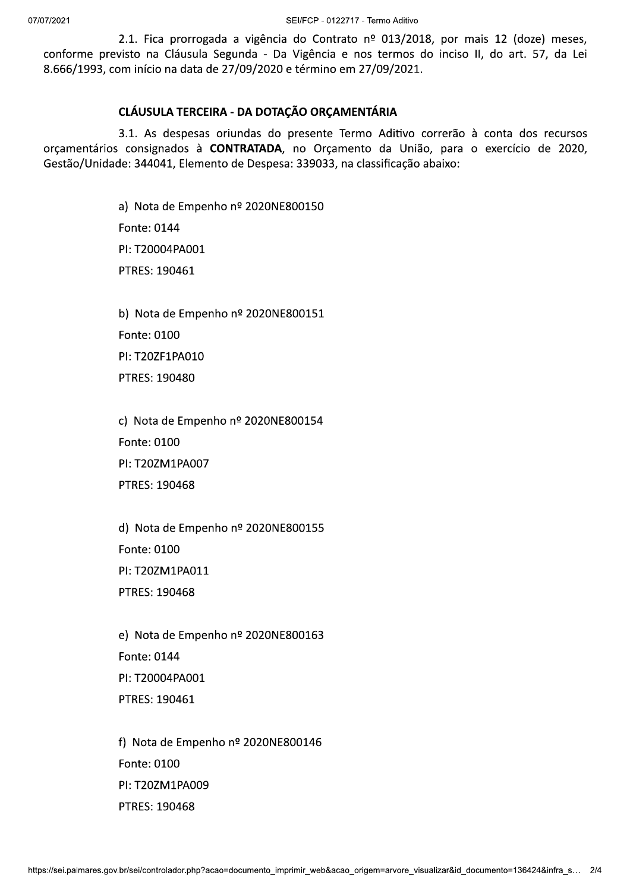SEI/FCP - 0122717 - Termo Aditivo

2.1. Fica prorrogada a vigência do Contrato nº 013/2018, por mais 12 (doze) meses, conforme previsto na Cláusula Segunda - Da Vigência e nos termos do inciso II, do art. 57, da Lei 8.666/1993, com início na data de 27/09/2020 e término em 27/09/2021.

### CLÁUSULA TERCEIRA - DA DOTAÇÃO ORÇAMENTÁRIA

3.1. As despesas oriundas do presente Termo Aditivo correrão à conta dos recursos orçamentários consignados à CONTRATADA, no Orçamento da União, para o exercício de 2020, Gestão/Unidade: 344041, Elemento de Despesa: 339033, na classificação abaixo:

> a) Nota de Empenho nº 2020NE800150 Fonte: 0144 PI: T20004PA001 PTRES: 190461

> b) Nota de Empenho nº 2020NE800151 Fonte: 0100 PI: T20ZF1PA010 PTRES: 190480

> c) Nota de Empenho nº 2020NE800154 Fonte: 0100 PI: T20ZM1PA007 PTRES: 190468

> d) Nota de Empenho nº 2020NE800155 Fonte: 0100 PI: T20ZM1PA011 PTRES: 190468

> e) Nota de Empenho nº 2020NE800163 Fonte: 0144 PI: T20004PA001 PTRES: 190461

> f) Nota de Empenho nº 2020NE800146 Fonte: 0100 PI: T20ZM1PA009 PTRES: 190468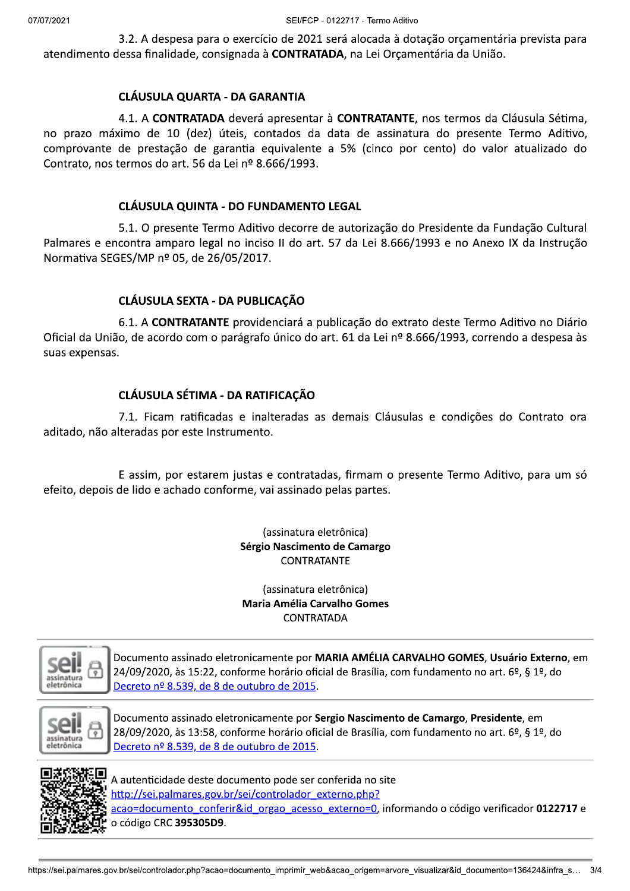3.2. A despesa para o exercício de 2021 será alocada à dotação orçamentária prevista para atendimento dessa finalidade, consignada à CONTRATADA, na Lei Orcamentária da União.

### **CLÁUSULA QUARTA - DA GARANTIA**

4.1. A CONTRATADA deverá apresentar à CONTRATANTE, nos termos da Cláusula Sétima, no prazo máximo de 10 (dez) úteis, contados da data de assinatura do presente Termo Aditivo, comprovante de prestação de garantia equivalente a 5% (cinco por cento) do valor atualizado do Contrato, nos termos do art. 56 da Lei nº 8.666/1993.

## **CLÁUSULA QUINTA - DO FUNDAMENTO LEGAL**

5.1. O presente Termo Aditivo decorre de autorização do Presidente da Fundação Cultural Palmares e encontra amparo legal no inciso II do art. 57 da Lei 8.666/1993 e no Anexo IX da Instrução Normativa SEGES/MP nº 05, de 26/05/2017.

# CLÁUSULA SEXTA - DA PUBLICAÇÃO

6.1. A CONTRATANTE providenciará a publicação do extrato deste Termo Aditivo no Diário Oficial da União, de acordo com o parágrafo único do art. 61 da Lei nº 8.666/1993, correndo a despesa às suas expensas.

# **CLÁUSULA SÉTIMA - DA RATIFICAÇÃO**

7.1. Ficam ratificadas e inalteradas as demais Cláusulas e condições do Contrato ora aditado, não alteradas por este Instrumento.

E assim, por estarem justas e contratadas, firmam o presente Termo Aditivo, para um só efeito, depois de lido e achado conforme, vai assinado pelas partes.

> (assinatura eletrônica) Sérgio Nascimento de Camargo **CONTRATANTE**

(assinatura eletrônica) **Maria Amélia Carvalho Gomes CONTRATADA** 



Documento assinado eletronicamente por MARIA AMÉLIA CARVALHO GOMES, Usuário Externo, em 24/09/2020, às 15:22, conforme horário oficial de Brasília, com fundamento no art. 6º, § 1º, do Decreto nº 8.539, de 8 de outubro de 2015.



Documento assinado eletronicamente por Sergio Nascimento de Camargo, Presidente, em 28/09/2020, às 13:58, conforme horário oficial de Brasília, com fundamento no art. 6º, § 1º, do Decreto nº 8.539, de 8 de outubro de 2015.



A autenticidade deste documento pode ser conferida no site http://sei.palmares.gov.br/sei/controlador\_externo.php? acao=documento conferir&id orgao acesso externo=0, informando o código verificador 0122717 e o código CRC 395305D9.